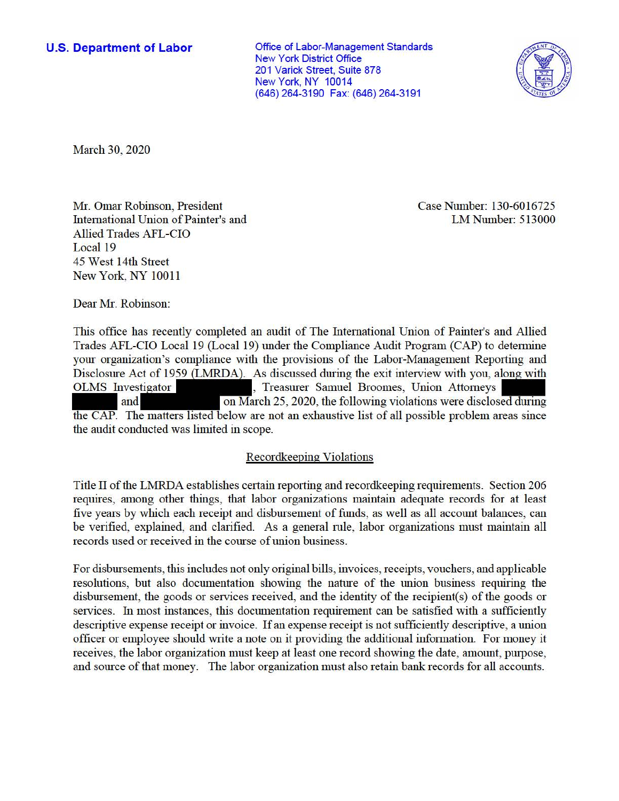**U.S. Department of Labor Conservative Conservation Conservative Conservation Conservation Conservation** New York District Office 201 Varick Street, Suite 878 New York, NY 10014 (646) 264-3190 Fax: (646) 264-3191



March 30, 2020

Mr. Omar Robinson, President Case Number: 130-6016725 International Union of Painter's and LM Number: 513000 Allied Trades AFL-CIO Local 19 45 West 14th Street New York, NY 10011

Dear Mr. Robinson:

This office has recently completed an audit of The International Union of Painter's and Allied Trades AFL-CIO Local 19 (Local 19) under the Compliance Audit Program (CAP) to determine your organization's compliance with the provisions of the Labor-Management Reporting and Disclosure Act of 1959 (LMRDA). As discussed during the exit interview with you, along with OLMS Investigator (a) reasurer Samuel Broomes, Union Attorneys and on March 25, 2020, the following violations were disclosed during the CAP. The matters listed below are not an exhaustive list of all possible problem areas since the audit conducted was limited in scope.

## Recordkeeping Violations

Title II of the LMRDA establishes certain reporting and recordkeeping requirements. Section 206 requires, among other things, that labor organizations maintain adequate records for at least five years by which each receipt and disbursement of funds, as well as all account balances, can be verified, explained, and clarified. As a general rnle, labor organizations must maintain all records used or received in the course of union business.

For disbursements, this includes not only original bills, invoices, receipts, vouchers, and applicable resolutions, but also documentation showing the nature of the union business requiring the disbursement, the goods or services received, and the identity of the recipient(s) of the goods or services. In most instances, this documentation requirement can be satisfied with a sufficiently descriptive expense receipt or invoice. If an expense receipt is not sufficiently descriptive, a union officer or employee should write a note on it providing the additional infonnation. For money it receives, the labor organization must keep at least one record showing the date, amount, purpose, and source ofthat money. The labor organization must also retain bank records for all accounts.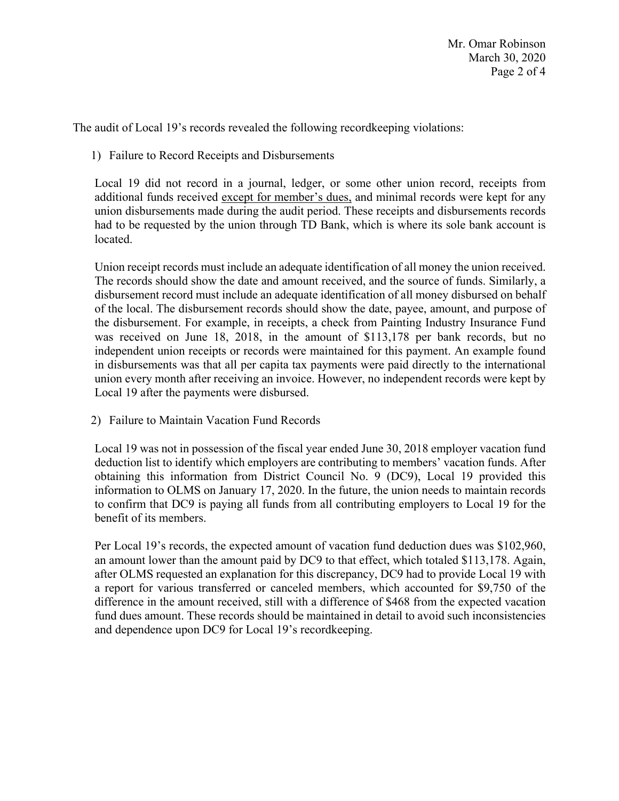The audit of Local 19's records revealed the following recordkeeping violations:

1) Failure to Record Receipts and Disbursements

Local 19 did not record in a journal, ledger, or some other union record, receipts from additional funds received except for member's dues, and minimal records were kept for any union disbursements made during the audit period. These receipts and disbursements records had to be requested by the union through TD Bank, which is where its sole bank account is located.

Union receipt records must include an adequate identification of all money the union received. The records should show the date and amount received, and the source of funds. Similarly, a disbursement record must include an adequate identification of all money disbursed on behalf of the local. The disbursement records should show the date, payee, amount, and purpose of the disbursement. For example, in receipts, a check from Painting Industry Insurance Fund was received on June 18, 2018, in the amount of \$113,178 per bank records, but no independent union receipts or records were maintained for this payment. An example found in disbursements was that all per capita tax payments were paid directly to the international union every month after receiving an invoice. However, no independent records were kept by Local 19 after the payments were disbursed.

2) Failure to Maintain Vacation Fund Records

 deduction list to identify which employers are contributing to members' vacation funds. After information to OLMS on January 17, 2020. In the future, the union needs to maintain records to confirm that DC9 is paying all funds from all contributing employers to Local 19 for the Local 19 was not in possession of the fiscal year ended June 30, 2018 employer vacation fund obtaining this information from District Council No. 9 (DC9), Local 19 provided this benefit of its members.

 difference in the amount received, still with a difference of \$468 from the expected vacation Per Local 19's records, the expected amount of vacation fund deduction dues was \$102,960, an amount lower than the amount paid by DC9 to that effect, which totaled \$113,178. Again, after OLMS requested an explanation for this discrepancy, DC9 had to provide Local 19 with a report for various transferred or canceled members, which accounted for \$9,750 of the fund dues amount. These records should be maintained in detail to avoid such inconsistencies and dependence upon DC9 for Local 19's recordkeeping.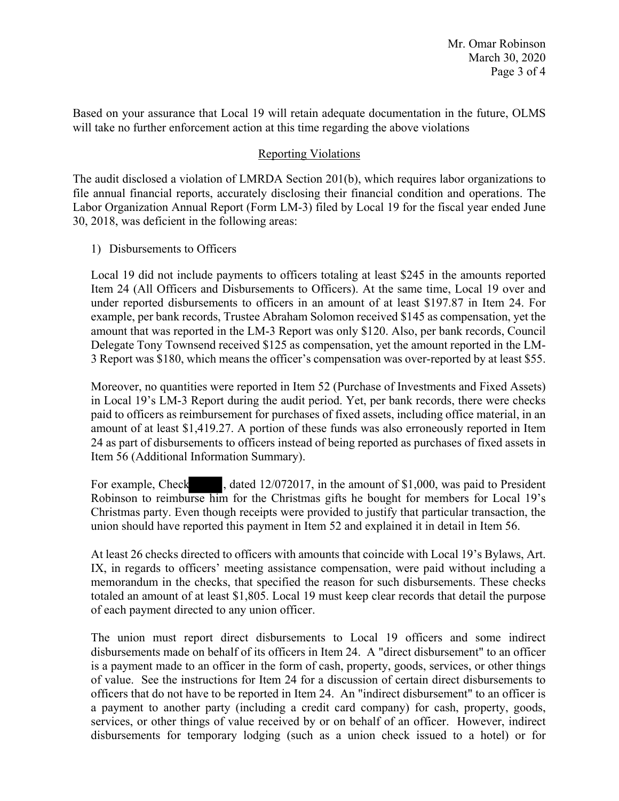Based on your assurance that Local 19 will retain adequate documentation in the future, OLMS will take no further enforcement action at this time regarding the above violations

## Reporting Violations

The audit disclosed a violation of LMRDA Section 201(b), which requires labor organizations to file annual financial reports, accurately disclosing their financial condition and operations. The Labor Organization Annual Report (Form LM-3) filed by Local 19 for the fiscal year ended June 30, 2018, was deficient in the following areas:

1) Disbursements to Officers

 Local 19 did not include payments to officers totaling at least \$245 in the amounts reported under reported disbursements to officers in an amount of at least \$197.87 in Item 24. For example, per bank records, Trustee Abraham Solomon received \$145 as compensation, yet the Item 24 (All Officers and Disbursements to Officers). At the same time, Local 19 over and amount that was reported in the LM-3 Report was only \$120. Also, per bank records, Council Delegate Tony Townsend received \$125 as compensation, yet the amount reported in the LM-3 Report was \$180, which means the officer's compensation was over-reported by at least \$55.

 amount of at least [\\$1,419.27](https://1,419.27). A portion of these funds was also erroneously reported in Item 24 as part of disbursements to officers instead of being reported as purchases of fixed assets in Moreover, no quantities were reported in Item 52 (Purchase of Investments and Fixed Assets) in Local 19's LM-3 Report during the audit period. Yet, per bank records, there were checks paid to officers as reimbursement for purchases of fixed assets, including office material, in an Item 56 (Additional Information Summary).

 Robinson to reimburse him for the Christmas gifts he bought for members for Local 19's Christmas party. Even though receipts were provided to justify that particular transaction, the For example, Check , dated  $12/072017$ , in the amount of \$1,000, was paid to President union should have reported this payment in Item 52 and explained it in detail in Item 56.

 memorandum in the checks, that specified the reason for such disbursements. These checks At least 26 checks directed to officers with amounts that coincide with Local 19's Bylaws, Art. IX, in regards to officers' meeting assistance compensation, were paid without including a totaled an amount of at least \$1,805. Local 19 must keep clear records that detail the purpose of each payment directed to any union officer.

 officers that do not have to be reported in Item 24. An "indirect disbursement" to an officer is The union must report direct disbursements to Local 19 officers and some indirect disbursements made on behalf of its officers in Item 24. A "direct disbursement" to an officer is a payment made to an officer in the form of cash, property, goods, services, or other things of value. See the instructions for Item 24 for a discussion of certain direct disbursements to a payment to another party (including a credit card company) for cash, property, goods, services, or other things of value received by or on behalf of an officer. However, indirect disbursements for temporary lodging (such as a union check issued to a hotel) or for